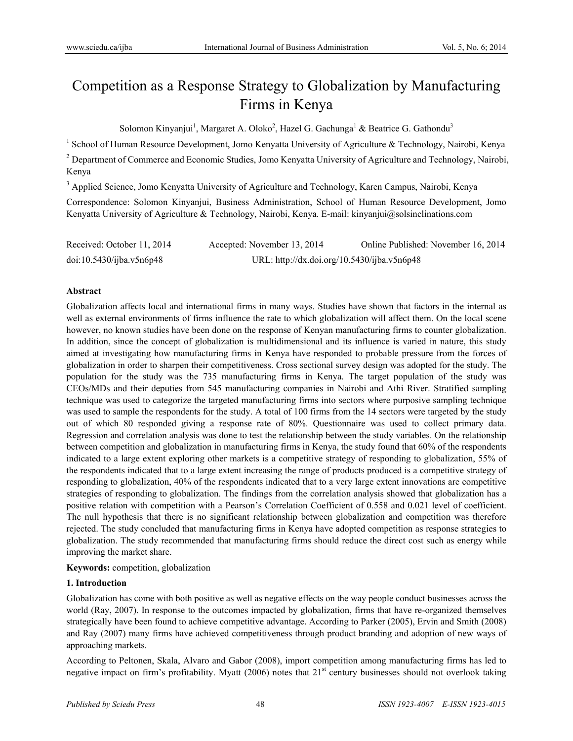# Competition as a Response Strategy to Globalization by Manufacturing Firms in Kenya

Solomon Kinyanjui<sup>1</sup>, Margaret A. Oloko<sup>2</sup>, Hazel G. Gachunga<sup>1</sup> & Beatrice G. Gathondu<sup>3</sup>

<sup>1</sup> School of Human Resource Development, Jomo Kenyatta University of Agriculture & Technology, Nairobi, Kenya

<sup>2</sup> Department of Commerce and Economic Studies, Jomo Kenyatta University of Agriculture and Technology, Nairobi, Kenya

<sup>3</sup> Applied Science, Jomo Kenyatta University of Agriculture and Technology, Karen Campus, Nairobi, Kenya

Correspondence: Solomon Kinyanjui, Business Administration, School of Human Resource Development, Jomo Kenyatta University of Agriculture & Technology, Nairobi, Kenya. E-mail: kinyanjui@solsinclinations.com

| Received: October 11, 2014 | Accepted: November 13, 2014                 | Online Published: November 16, 2014 |
|----------------------------|---------------------------------------------|-------------------------------------|
| doi:10.5430/ijba.v5n6p48   | URL: http://dx.doi.org/10.5430/ijba.v5n6p48 |                                     |

# **Abstract**

Globalization affects local and international firms in many ways. Studies have shown that factors in the internal as well as external environments of firms influence the rate to which globalization will affect them. On the local scene however, no known studies have been done on the response of Kenyan manufacturing firms to counter globalization. In addition, since the concept of globalization is multidimensional and its influence is varied in nature, this study aimed at investigating how manufacturing firms in Kenya have responded to probable pressure from the forces of globalization in order to sharpen their competitiveness. Cross sectional survey design was adopted for the study. The population for the study was the 735 manufacturing firms in Kenya. The target population of the study was CEOs/MDs and their deputies from 545 manufacturing companies in Nairobi and Athi River. Stratified sampling technique was used to categorize the targeted manufacturing firms into sectors where purposive sampling technique was used to sample the respondents for the study. A total of 100 firms from the 14 sectors were targeted by the study out of which 80 responded giving a response rate of 80%. Questionnaire was used to collect primary data. Regression and correlation analysis was done to test the relationship between the study variables. On the relationship between competition and globalization in manufacturing firms in Kenya, the study found that 60% of the respondents indicated to a large extent exploring other markets is a competitive strategy of responding to globalization, 55% of the respondents indicated that to a large extent increasing the range of products produced is a competitive strategy of responding to globalization, 40% of the respondents indicated that to a very large extent innovations are competitive strategies of responding to globalization. The findings from the correlation analysis showed that globalization has a positive relation with competition with a Pearson's Correlation Coefficient of 0.558 and 0.021 level of coefficient. The null hypothesis that there is no significant relationship between globalization and competition was therefore rejected. The study concluded that manufacturing firms in Kenya have adopted competition as response strategies to globalization. The study recommended that manufacturing firms should reduce the direct cost such as energy while improving the market share.

# **Keywords:** competition, globalization

# **1. Introduction**

Globalization has come with both positive as well as negative effects on the way people conduct businesses across the world (Ray, 2007). In response to the outcomes impacted by globalization, firms that have re-organized themselves strategically have been found to achieve competitive advantage. According to Parker (2005), Ervin and Smith (2008) and Ray (2007) many firms have achieved competitiveness through product branding and adoption of new ways of approaching markets.

According to Peltonen, Skala, Alvaro and Gabor (2008), import competition among manufacturing firms has led to negative impact on firm's profitability. Myatt (2006) notes that 21<sup>st</sup> century businesses should not overlook taking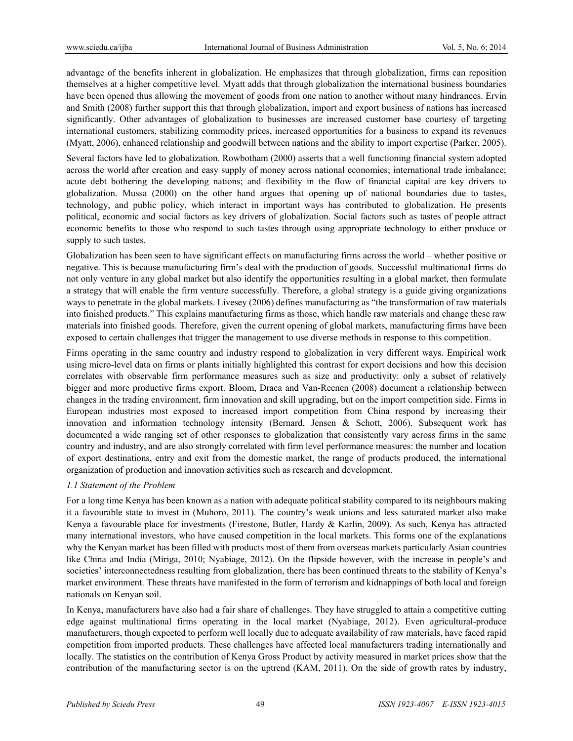advantage of the benefits inherent in globalization. He emphasizes that through globalization, firms can reposition themselves at a higher competitive level. Myatt adds that through globalization the international business boundaries have been opened thus allowing the movement of goods from one nation to another without many hindrances. Ervin and Smith (2008) further support this that through globalization, import and export business of nations has increased significantly. Other advantages of globalization to businesses are increased customer base courtesy of targeting international customers, stabilizing commodity prices, increased opportunities for a business to expand its revenues (Myatt, 2006), enhanced relationship and goodwill between nations and the ability to import expertise (Parker, 2005).

Several factors have led to globalization. Rowbotham (2000) asserts that a well functioning financial system adopted across the world after creation and easy supply of money across national economies; international trade imbalance; acute debt bothering the developing nations; and flexibility in the flow of financial capital are key drivers to globalization. Mussa (2000) on the other hand argues that opening up of national boundaries due to tastes, technology, and public policy, which interact in important ways has contributed to globalization. He presents political, economic and social factors as key drivers of globalization. Social factors such as tastes of people attract economic benefits to those who respond to such tastes through using appropriate technology to either produce or supply to such tastes.

Globalization has been seen to have significant effects on manufacturing firms across the world – whether positive or negative. This is because manufacturing firm's deal with the production of goods. Successful multinational firms do not only venture in any global market but also identify the opportunities resulting in a global market, then formulate a strategy that will enable the firm venture successfully. Therefore, a global strategy is a guide giving organizations ways to penetrate in the global markets. Livesey (2006) defines manufacturing as "the transformation of raw materials into finished products." This explains manufacturing firms as those, which handle raw materials and change these raw materials into finished goods. Therefore, given the current opening of global markets, manufacturing firms have been exposed to certain challenges that trigger the management to use diverse methods in response to this competition.

Firms operating in the same country and industry respond to globalization in very different ways. Empirical work using micro-level data on firms or plants initially highlighted this contrast for export decisions and how this decision correlates with observable firm performance measures such as size and productivity: only a subset of relatively bigger and more productive firms export. Bloom, Draca and Van-Reenen (2008) document a relationship between changes in the trading environment, firm innovation and skill upgrading, but on the import competition side. Firms in European industries most exposed to increased import competition from China respond by increasing their innovation and information technology intensity (Bernard, Jensen & Schott, 2006). Subsequent work has documented a wide ranging set of other responses to globalization that consistently vary across firms in the same country and industry, and are also strongly correlated with firm level performance measures: the number and location of export destinations, entry and exit from the domestic market, the range of products produced, the international organization of production and innovation activities such as research and development.

# *1.1 Statement of the Problem*

For a long time Kenya has been known as a nation with adequate political stability compared to its neighbours making it a favourable state to invest in (Muhoro, 2011). The country's weak unions and less saturated market also make Kenya a favourable place for investments (Firestone, Butler, Hardy & Karlin, 2009). As such, Kenya has attracted many international investors, who have caused competition in the local markets. This forms one of the explanations why the Kenyan market has been filled with products most of them from overseas markets particularly Asian countries like China and India (Miriga, 2010; Nyabiage, 2012). On the flipside however, with the increase in people's and societies' interconnectedness resulting from globalization, there has been continued threats to the stability of Kenya's market environment. These threats have manifested in the form of terrorism and kidnappings of both local and foreign nationals on Kenyan soil.

In Kenya, manufacturers have also had a fair share of challenges. They have struggled to attain a competitive cutting edge against multinational firms operating in the local market (Nyabiage, 2012). Even agricultural-produce manufacturers, though expected to perform well locally due to adequate availability of raw materials, have faced rapid competition from imported products. These challenges have affected local manufacturers trading internationally and locally. The statistics on the contribution of Kenya Gross Product by activity measured in market prices show that the contribution of the manufacturing sector is on the uptrend (KAM, 2011). On the side of growth rates by industry,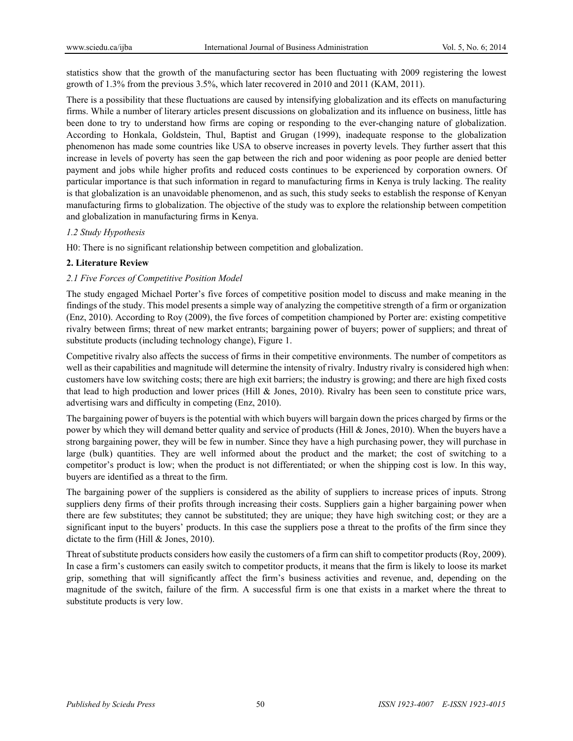statistics show that the growth of the manufacturing sector has been fluctuating with 2009 registering the lowest growth of 1.3% from the previous 3.5%, which later recovered in 2010 and 2011 (KAM, 2011).

There is a possibility that these fluctuations are caused by intensifying globalization and its effects on manufacturing firms. While a number of literary articles present discussions on globalization and its influence on business, little has been done to try to understand how firms are coping or responding to the ever-changing nature of globalization. According to Honkala, Goldstein, Thul, Baptist and Grugan (1999), inadequate response to the globalization phenomenon has made some countries like USA to observe increases in poverty levels. They further assert that this increase in levels of poverty has seen the gap between the rich and poor widening as poor people are denied better payment and jobs while higher profits and reduced costs continues to be experienced by corporation owners. Of particular importance is that such information in regard to manufacturing firms in Kenya is truly lacking. The reality is that globalization is an unavoidable phenomenon, and as such, this study seeks to establish the response of Kenyan manufacturing firms to globalization. The objective of the study was to explore the relationship between competition and globalization in manufacturing firms in Kenya.

# *1.2 Study Hypothesis*

H0: There is no significant relationship between competition and globalization.

# **2. Literature Review**

# *2.1 Five Forces of Competitive Position Model*

The study engaged Michael Porter's five forces of competitive position model to discuss and make meaning in the findings of the study. This model presents a simple way of analyzing the competitive strength of a firm or organization (Enz, 2010). According to Roy (2009), the five forces of competition championed by Porter are: existing competitive rivalry between firms; threat of new market entrants; bargaining power of buyers; power of suppliers; and threat of substitute products (including technology change), Figure 1.

Competitive rivalry also affects the success of firms in their competitive environments. The number of competitors as well as their capabilities and magnitude will determine the intensity of rivalry. Industry rivalry is considered high when: customers have low switching costs; there are high exit barriers; the industry is growing; and there are high fixed costs that lead to high production and lower prices (Hill & Jones, 2010). Rivalry has been seen to constitute price wars, advertising wars and difficulty in competing (Enz, 2010).

The bargaining power of buyers is the potential with which buyers will bargain down the prices charged by firms or the power by which they will demand better quality and service of products (Hill & Jones, 2010). When the buyers have a strong bargaining power, they will be few in number. Since they have a high purchasing power, they will purchase in large (bulk) quantities. They are well informed about the product and the market; the cost of switching to a competitor's product is low; when the product is not differentiated; or when the shipping cost is low. In this way, buyers are identified as a threat to the firm.

The bargaining power of the suppliers is considered as the ability of suppliers to increase prices of inputs. Strong suppliers deny firms of their profits through increasing their costs. Suppliers gain a higher bargaining power when there are few substitutes; they cannot be substituted; they are unique; they have high switching cost; or they are a significant input to the buyers' products. In this case the suppliers pose a threat to the profits of the firm since they dictate to the firm (Hill & Jones, 2010).

Threat of substitute products considers how easily the customers of a firm can shift to competitor products (Roy, 2009). In case a firm's customers can easily switch to competitor products, it means that the firm is likely to loose its market grip, something that will significantly affect the firm's business activities and revenue, and, depending on the magnitude of the switch, failure of the firm. A successful firm is one that exists in a market where the threat to substitute products is very low.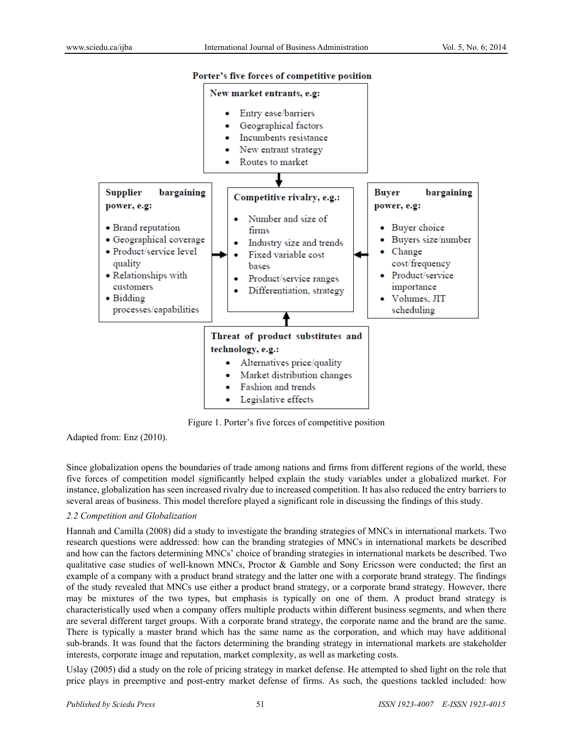



Figure 1. Porter's five forces of competitive position

Adapted from: Enz (2010).

Since globalization opens the boundaries of trade among nations and firms from different regions of the world, these five forces of competition model significantly helped explain the study variables under a globalized market. For instance, globalization has seen increased rivalry due to increased competition. It has also reduced the entry barriers to several areas of business. This model therefore played a significant role in discussing the findings of this study.

# *2.2 Competition and Globalization*

Hannah and Camilla (2008) did a study to investigate the branding strategies of MNCs in international markets. Two research questions were addressed: how can the branding strategies of MNCs in international markets be described and how can the factors determining MNCs' choice of branding strategies in international markets be described. Two qualitative case studies of well-known MNCs, Proctor & Gamble and Sony Ericsson were conducted; the first an example of a company with a product brand strategy and the latter one with a corporate brand strategy. The findings of the study revealed that MNCs use either a product brand strategy, or a corporate brand strategy. However, there may be mixtures of the two types, but emphasis is typically on one of them. A product brand strategy is characteristically used when a company offers multiple products within different business segments, and when there are several different target groups. With a corporate brand strategy, the corporate name and the brand are the same. There is typically a master brand which has the same name as the corporation, and which may have additional sub-brands. It was found that the factors determining the branding strategy in international markets are stakeholder interests, corporate image and reputation, market complexity, as well as marketing costs.

Uslay (2005) did a study on the role of pricing strategy in market defense. He attempted to shed light on the role that price plays in preemptive and post-entry market defense of firms. As such, the questions tackled included: how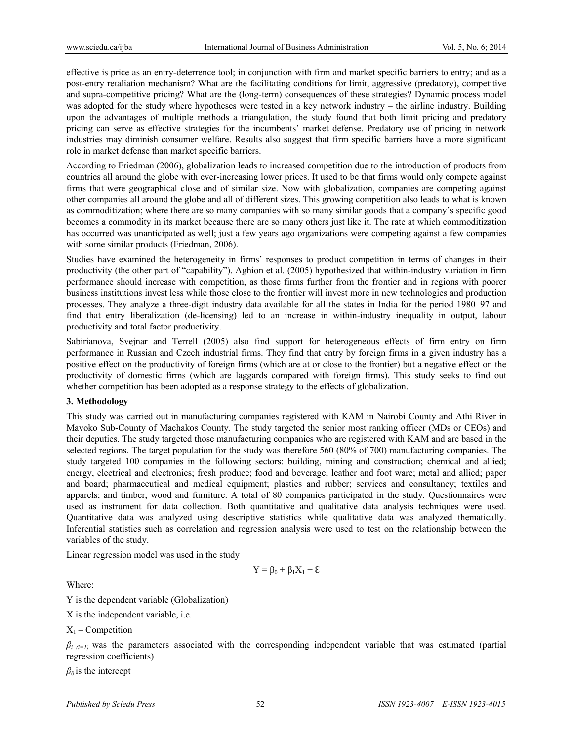effective is price as an entry-deterrence tool; in conjunction with firm and market specific barriers to entry; and as a post-entry retaliation mechanism? What are the facilitating conditions for limit, aggressive (predatory), competitive and supra-competitive pricing? What are the (long-term) consequences of these strategies? Dynamic process model was adopted for the study where hypotheses were tested in a key network industry – the airline industry. Building upon the advantages of multiple methods a triangulation, the study found that both limit pricing and predatory pricing can serve as effective strategies for the incumbents' market defense. Predatory use of pricing in network industries may diminish consumer welfare. Results also suggest that firm specific barriers have a more significant role in market defense than market specific barriers.

According to Friedman (2006), globalization leads to increased competition due to the introduction of products from countries all around the globe with ever-increasing lower prices. It used to be that firms would only compete against firms that were geographical close and of similar size. Now with globalization, companies are competing against other companies all around the globe and all of different sizes. This growing competition also leads to what is known as commoditization; where there are so many companies with so many similar goods that a company's specific good becomes a commodity in its market because there are so many others just like it. The rate at which commoditization has occurred was unanticipated as well; just a few years ago organizations were competing against a few companies with some similar products (Friedman, 2006).

Studies have examined the heterogeneity in firms' responses to product competition in terms of changes in their productivity (the other part of "capability"). Aghion et al. (2005) hypothesized that within-industry variation in firm performance should increase with competition, as those firms further from the frontier and in regions with poorer business institutions invest less while those close to the frontier will invest more in new technologies and production processes. They analyze a three-digit industry data available for all the states in India for the period 1980–97 and find that entry liberalization (de-licensing) led to an increase in within-industry inequality in output, labour productivity and total factor productivity.

Sabirianova, Svejnar and Terrell (2005) also find support for heterogeneous effects of firm entry on firm performance in Russian and Czech industrial firms. They find that entry by foreign firms in a given industry has a positive effect on the productivity of foreign firms (which are at or close to the frontier) but a negative effect on the productivity of domestic firms (which are laggards compared with foreign firms). This study seeks to find out whether competition has been adopted as a response strategy to the effects of globalization.

#### **3. Methodology**

This study was carried out in manufacturing companies registered with KAM in Nairobi County and Athi River in Mavoko Sub-County of Machakos County. The study targeted the senior most ranking officer (MDs or CEOs) and their deputies. The study targeted those manufacturing companies who are registered with KAM and are based in the selected regions. The target population for the study was therefore 560 (80% of 700) manufacturing companies. The study targeted 100 companies in the following sectors: building, mining and construction; chemical and allied; energy, electrical and electronics; fresh produce; food and beverage; leather and foot ware; metal and allied; paper and board; pharmaceutical and medical equipment; plastics and rubber; services and consultancy; textiles and apparels; and timber, wood and furniture. A total of 80 companies participated in the study. Questionnaires were used as instrument for data collection. Both quantitative and qualitative data analysis techniques were used. Quantitative data was analyzed using descriptive statistics while qualitative data was analyzed thematically. Inferential statistics such as correlation and regression analysis were used to test on the relationship between the variables of the study.

Linear regression model was used in the study

$$
Y=\beta_0+\beta_1X_1+\epsilon
$$

Where:

Y is the dependent variable (Globalization)

X is the independent variable, i.e.

 $X_1$  – Competition

 $\beta_i$ <sub>(i=1)</sub> was the parameters associated with the corresponding independent variable that was estimated (partial regression coefficients)

 $\beta_0$  is the intercept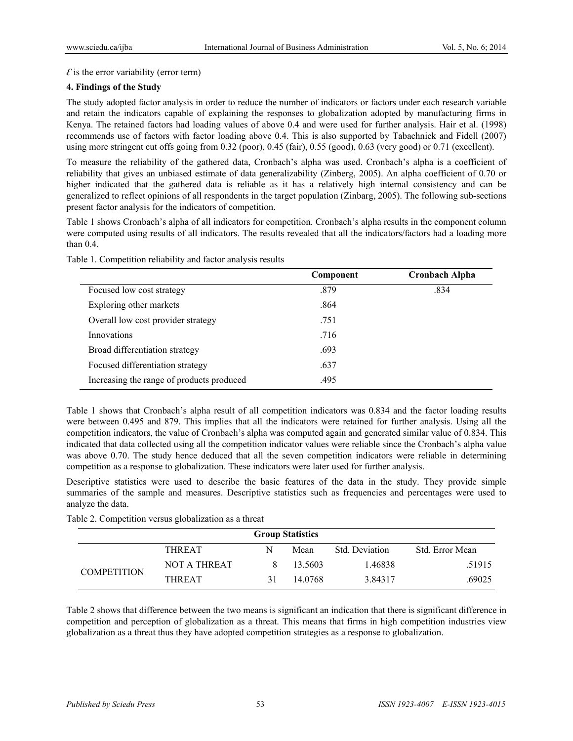$\mathcal E$  is the error variability (error term)

# **4. Findings of the Study**

The study adopted factor analysis in order to reduce the number of indicators or factors under each research variable and retain the indicators capable of explaining the responses to globalization adopted by manufacturing firms in Kenya. The retained factors had loading values of above 0.4 and were used for further analysis. Hair et al. (1998) recommends use of factors with factor loading above 0.4. This is also supported by Tabachnick and Fidell (2007) using more stringent cut offs going from 0.32 (poor), 0.45 (fair), 0.55 (good), 0.63 (very good) or 0.71 (excellent).

To measure the reliability of the gathered data, Cronbach's alpha was used. Cronbach's alpha is a coefficient of reliability that gives an unbiased estimate of data generalizability (Zinberg, 2005). An alpha coefficient of 0.70 or higher indicated that the gathered data is reliable as it has a relatively high internal consistency and can be generalized to reflect opinions of all respondents in the target population (Zinbarg, 2005). The following sub-sections present factor analysis for the indicators of competition.

Table 1 shows Cronbach's alpha of all indicators for competition. Cronbach's alpha results in the component column were computed using results of all indicators. The results revealed that all the indicators/factors had a loading more than 0.4.

|                                           | Component | <b>Cronbach Alpha</b> |
|-------------------------------------------|-----------|-----------------------|
| Focused low cost strategy                 | .879      | .834                  |
| Exploring other markets                   | .864      |                       |
| Overall low cost provider strategy        | .751      |                       |
| Innovations                               | .716      |                       |
| Broad differentiation strategy            | .693      |                       |
| Focused differentiation strategy          | .637      |                       |
| Increasing the range of products produced | .495      |                       |

Table 1. Competition reliability and factor analysis results

Table 1 shows that Cronbach's alpha result of all competition indicators was 0.834 and the factor loading results were between 0.495 and 879. This implies that all the indicators were retained for further analysis. Using all the competition indicators, the value of Cronbach's alpha was computed again and generated similar value of 0.834. This indicated that data collected using all the competition indicator values were reliable since the Cronbach's alpha value was above 0.70. The study hence deduced that all the seven competition indicators were reliable in determining competition as a response to globalization. These indicators were later used for further analysis.

Descriptive statistics were used to describe the basic features of the data in the study. They provide simple summaries of the sample and measures. Descriptive statistics such as frequencies and percentages were used to analyze the data.

| wore =: competition +erowo groommation wo w threat |                     |    |         |                |                 |  |  |
|----------------------------------------------------|---------------------|----|---------|----------------|-----------------|--|--|
| <b>Group Statistics</b>                            |                     |    |         |                |                 |  |  |
|                                                    | <b>THREAT</b>       | N  | Mean    | Std. Deviation | Std. Error Mean |  |  |
| <b>COMPETITION</b>                                 | <b>NOT A THREAT</b> |    | 13.5603 | 1.46838        | .51915          |  |  |
|                                                    | THREAT              | 31 | 14.0768 | 3.84317        | .69025          |  |  |

Table 2. Competition versus globalization as a threat

Table 2 shows that difference between the two means is significant an indication that there is significant difference in competition and perception of globalization as a threat. This means that firms in high competition industries view globalization as a threat thus they have adopted competition strategies as a response to globalization.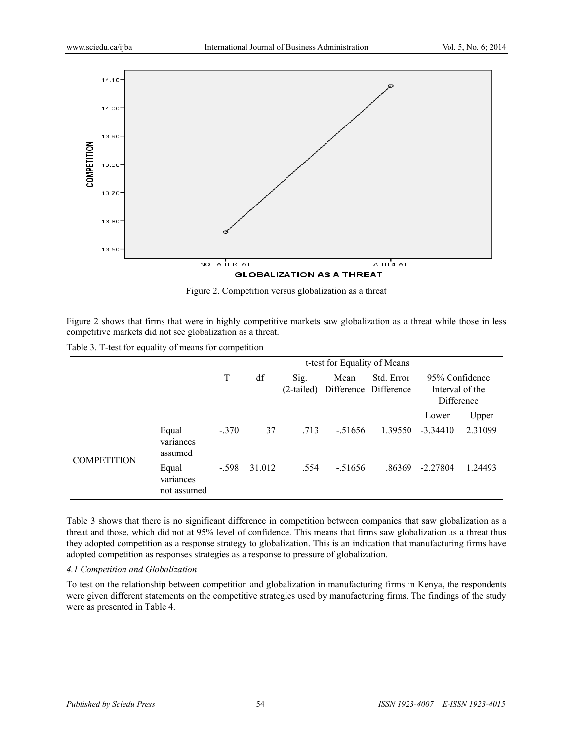

Figure 2. Competition versus globalization as a threat

Figure 2 shows that firms that were in highly competitive markets saw globalization as a threat while those in less competitive markets did not see globalization as a threat.

Table 3. T-test for equality of means for competition

|                    |                                   | t-test for Equality of Means |        |                      |                               |            |                                                 |         |
|--------------------|-----------------------------------|------------------------------|--------|----------------------|-------------------------------|------------|-------------------------------------------------|---------|
|                    |                                   | T                            | df     | Sig.<br>$(2-tailed)$ | Mean<br>Difference Difference | Std. Error | 95% Confidence<br>Interval of the<br>Difference |         |
|                    |                                   |                              |        |                      |                               |            | Lower                                           | Upper   |
| <b>COMPETITION</b> | Equal<br>variances<br>assumed     | $-.370$                      | 37     | .713                 | $-51656$                      | 1.39550    | $-3.34410$                                      | 2.31099 |
|                    | Equal<br>variances<br>not assumed | $-.598$                      | 31.012 | .554                 | $-51656$                      | .86369     | $-2.27804$                                      | 1.24493 |

Table 3 shows that there is no significant difference in competition between companies that saw globalization as a threat and those, which did not at 95% level of confidence. This means that firms saw globalization as a threat thus they adopted competition as a response strategy to globalization. This is an indication that manufacturing firms have adopted competition as responses strategies as a response to pressure of globalization.

# *4.1 Competition and Globalization*

To test on the relationship between competition and globalization in manufacturing firms in Kenya, the respondents were given different statements on the competitive strategies used by manufacturing firms. The findings of the study were as presented in Table 4.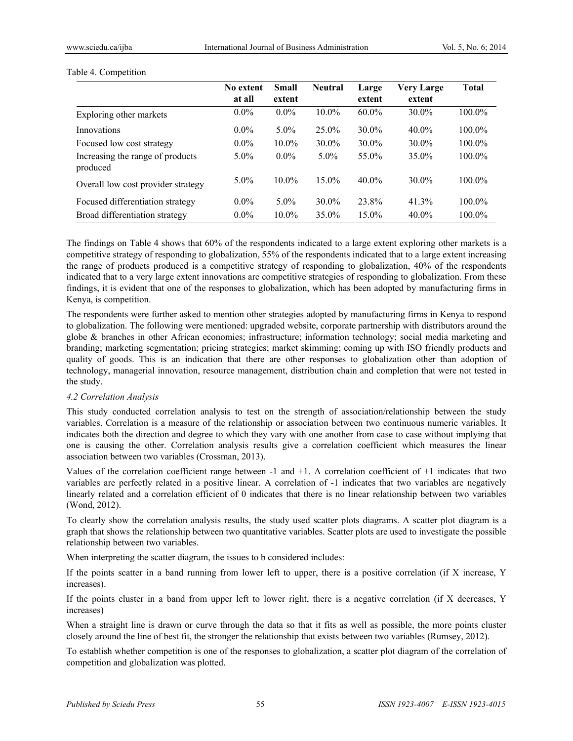|                                              | No extent | <b>Small</b> | <b>Neutral</b> | Large    | <b>Very Large</b> | <b>Total</b> |
|----------------------------------------------|-----------|--------------|----------------|----------|-------------------|--------------|
|                                              | at all    | extent       |                | extent   | extent            |              |
| Exploring other markets                      | $0.0\%$   | $0.0\%$      | $10.0\%$       | $60.0\%$ | $30.0\%$          | 100.0%       |
| Innovations                                  | $0.0\%$   | $5.0\%$      | $25.0\%$       | $30.0\%$ | $40.0\%$          | 100.0%       |
| Focused low cost strategy                    | $0.0\%$   | $10.0\%$     | $30.0\%$       | 30.0%    | $30.0\%$          | $100.0\%$    |
| Increasing the range of products<br>produced | $5.0\%$   | $0.0\%$      | $5.0\%$        | 55.0%    | $35.0\%$          | 100.0%       |
| Overall low cost provider strategy           | $5.0\%$   | $10.0\%$     | $15.0\%$       | $40.0\%$ | $30.0\%$          | $100.0\%$    |
| Focused differentiation strategy             | $0.0\%$   | $5.0\%$      | $30.0\%$       | 23.8%    | 41.3%             | $100.0\%$    |
| Broad differentiation strategy               | $0.0\%$   | $10.0\%$     | 35.0%          | 15.0%    | $40.0\%$          | 100.0%       |

#### Table 4. Competition

The findings on Table 4 shows that 60% of the respondents indicated to a large extent exploring other markets is a competitive strategy of responding to globalization, 55% of the respondents indicated that to a large extent increasing the range of products produced is a competitive strategy of responding to globalization, 40% of the respondents indicated that to a very large extent innovations are competitive strategies of responding to globalization. From these findings, it is evident that one of the responses to globalization, which has been adopted by manufacturing firms in Kenya, is competition.

The respondents were further asked to mention other strategies adopted by manufacturing firms in Kenya to respond to globalization. The following were mentioned: upgraded website, corporate partnership with distributors around the globe & branches in other African economies; infrastructure; information technology; social media marketing and branding; marketing segmentation; pricing strategies; market skimming; coming up with ISO friendly products and quality of goods. This is an indication that there are other responses to globalization other than adoption of technology, managerial innovation, resource management, distribution chain and completion that were not tested in the study.

# *4.2 Correlation Analysis*

This study conducted correlation analysis to test on the strength of association/relationship between the study variables. Correlation is a measure of the relationship or association between two continuous numeric variables. It indicates both the direction and degree to which they vary with one another from case to case without implying that one is causing the other. Correlation analysis results give a correlation coefficient which measures the linear association between two variables (Crossman, 2013).

Values of the correlation coefficient range between -1 and +1. A correlation coefficient of +1 indicates that two variables are perfectly related in a positive linear. A correlation of -1 indicates that two variables are negatively linearly related and a correlation efficient of 0 indicates that there is no linear relationship between two variables (Wond, 2012).

To clearly show the correlation analysis results, the study used scatter plots diagrams. A scatter plot diagram is a graph that shows the relationship between two quantitative variables. Scatter plots are used to investigate the possible relationship between two variables.

When interpreting the scatter diagram, the issues to b considered includes:

If the points scatter in a band running from lower left to upper, there is a positive correlation (if X increase, Y increases).

If the points cluster in a band from upper left to lower right, there is a negative correlation (if X decreases, Y increases)

When a straight line is drawn or curve through the data so that it fits as well as possible, the more points cluster closely around the line of best fit, the stronger the relationship that exists between two variables (Rumsey, 2012).

To establish whether competition is one of the responses to globalization, a scatter plot diagram of the correlation of competition and globalization was plotted.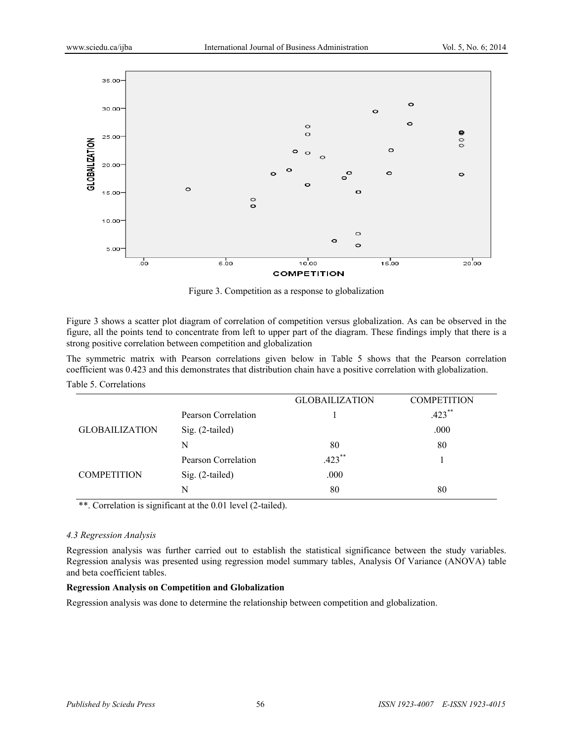

Figure 3. Competition as a response to globalization

Figure 3 shows a scatter plot diagram of correlation of competition versus globalization. As can be observed in the figure, all the points tend to concentrate from left to upper part of the diagram. These findings imply that there is a strong positive correlation between competition and globalization

The symmetric matrix with Pearson correlations given below in Table 5 shows that the Pearson correlation coefficient was 0.423 and this demonstrates that distribution chain have a positive correlation with globalization.

Table 5. Correlations

|                       |                     | <b>GLOBAILIZATION</b> | <b>COMPETITION</b> |
|-----------------------|---------------------|-----------------------|--------------------|
|                       | Pearson Correlation |                       | $.423$ **          |
| <b>GLOBAILIZATION</b> | $Sig. (2-tailed)$   |                       | .000               |
|                       | N                   | 80                    | 80                 |
|                       | Pearson Correlation | $.423$ **             |                    |
| <b>COMPETITION</b>    | Sig. (2-tailed)     | .000                  |                    |
|                       | N                   | 80                    | 80                 |

\*\*. Correlation is significant at the 0.01 level (2-tailed).

#### *4.3 Regression Analysis*

Regression analysis was further carried out to establish the statistical significance between the study variables. Regression analysis was presented using regression model summary tables, Analysis Of Variance (ANOVA) table and beta coefficient tables.

#### **Regression Analysis on Competition and Globalization**

Regression analysis was done to determine the relationship between competition and globalization.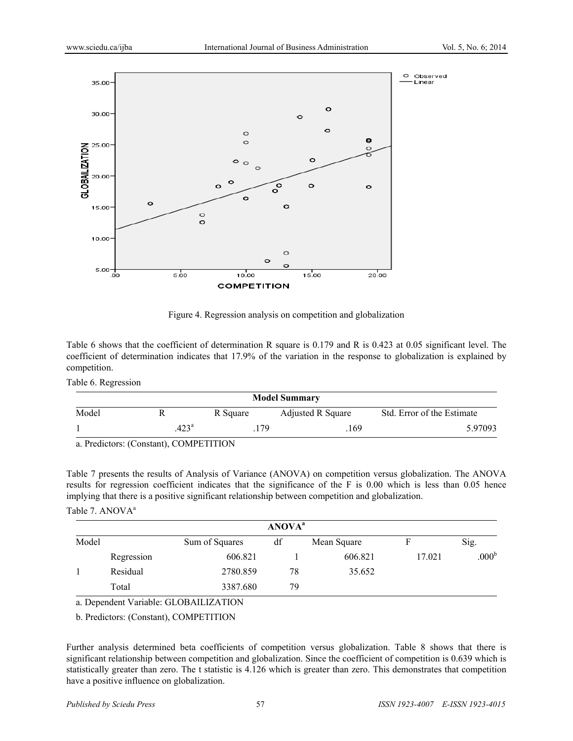

Figure 4. Regression analysis on competition and globalization

Table 6 shows that the coefficient of determination R square is 0.179 and R is 0.423 at 0.05 significant level. The coefficient of determination indicates that 17.9% of the variation in the response to globalization is explained by competition.

Table 6. Regression

| <b>Model Summary</b> |               |          |                   |                            |  |  |  |
|----------------------|---------------|----------|-------------------|----------------------------|--|--|--|
| Model                |               | R Square | Adjusted R Square | Std. Error of the Estimate |  |  |  |
|                      | $423^{\rm a}$ | 179      | 169               | 5.97093                    |  |  |  |

a. Predictors: (Constant), COMPETITION

Table 7 presents the results of Analysis of Variance (ANOVA) on competition versus globalization. The ANOVA results for regression coefficient indicates that the significance of the F is 0.00 which is less than 0.05 hence implying that there is a positive significant relationship between competition and globalization.

# Table 7. ANOVA<sup>a</sup>

|       | <b>ANOVA</b> <sup>a</sup> |                |    |             |        |                   |  |  |
|-------|---------------------------|----------------|----|-------------|--------|-------------------|--|--|
| Model |                           | Sum of Squares | df | Mean Square |        | Sig.              |  |  |
|       | Regression                | 606.821        |    | 606.821     | 17.021 | .000 <sup>b</sup> |  |  |
|       | Residual                  | 2780.859       | 78 | 35.652      |        |                   |  |  |
|       | Total                     | 3387.680       | 79 |             |        |                   |  |  |

a. Dependent Variable: GLOBAILIZATION

b. Predictors: (Constant), COMPETITION

Further analysis determined beta coefficients of competition versus globalization. Table 8 shows that there is significant relationship between competition and globalization. Since the coefficient of competition is 0.639 which is statistically greater than zero. The t statistic is 4.126 which is greater than zero. This demonstrates that competition have a positive influence on globalization.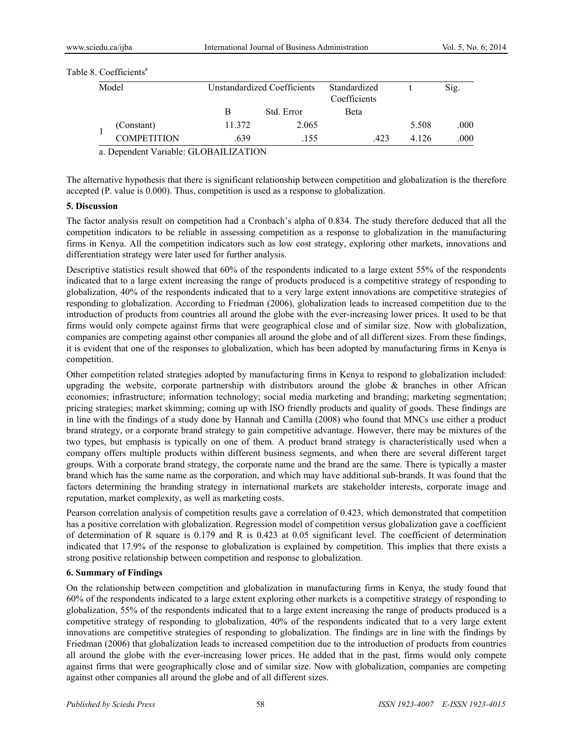#### Table 8. Coefficients<sup>a</sup>

| Model<br>Unstandardized Coefficients |        | Standardized<br>Coefficients |              | Sig.    |      |
|--------------------------------------|--------|------------------------------|--------------|---------|------|
|                                      | В      | Std. Error                   | <b>B</b> eta |         |      |
| (Constant)                           | 11.372 | 2.065                        |              | 5.508   | .000 |
| <b>COMPETITION</b>                   | .639   | .155                         | 423          | 4 1 2 6 | .000 |

a. Dependent Variable: GLOBAILIZATION

The alternative hypothesis that there is significant relationship between competition and globalization is the therefore accepted (P. value is 0.000). Thus, competition is used as a response to globalization.

#### **5. Discussion**

The factor analysis result on competition had a Cronbach's alpha of 0.834. The study therefore deduced that all the competition indicators to be reliable in assessing competition as a response to globalization in the manufacturing firms in Kenya. All the competition indicators such as low cost strategy, exploring other markets, innovations and differentiation strategy were later used for further analysis.

Descriptive statistics result showed that 60% of the respondents indicated to a large extent 55% of the respondents indicated that to a large extent increasing the range of products produced is a competitive strategy of responding to globalization, 40% of the respondents indicated that to a very large extent innovations are competitive strategies of responding to globalization. According to Friedman (2006), globalization leads to increased competition due to the introduction of products from countries all around the globe with the ever-increasing lower prices. It used to be that firms would only compete against firms that were geographical close and of similar size. Now with globalization, companies are competing against other companies all around the globe and of all different sizes. From these findings, it is evident that one of the responses to globalization, which has been adopted by manufacturing firms in Kenya is competition.

Other competition related strategies adopted by manufacturing firms in Kenya to respond to globalization included: upgrading the website, corporate partnership with distributors around the globe  $\&$  branches in other African economies; infrastructure; information technology; social media marketing and branding; marketing segmentation; pricing strategies; market skimming; coming up with ISO friendly products and quality of goods. These findings are in line with the findings of a study done by Hannah and Camilla (2008) who found that MNCs use either a product brand strategy, or a corporate brand strategy to gain competitive advantage. However, there may be mixtures of the two types, but emphasis is typically on one of them. A product brand strategy is characteristically used when a company offers multiple products within different business segments, and when there are several different target groups. With a corporate brand strategy, the corporate name and the brand are the same. There is typically a master brand which has the same name as the corporation, and which may have additional sub-brands. It was found that the factors determining the branding strategy in international markets are stakeholder interests, corporate image and reputation, market complexity, as well as marketing costs.

Pearson correlation analysis of competition results gave a correlation of 0.423, which demonstrated that competition has a positive correlation with globalization. Regression model of competition versus globalization gave a coefficient of determination of R square is 0.179 and R is 0.423 at 0.05 significant level. The coefficient of determination indicated that 17.9% of the response to globalization is explained by competition. This implies that there exists a strong positive relationship between competition and response to globalization.

# **6. Summary of Findings**

On the relationship between competition and globalization in manufacturing firms in Kenya, the study found that 60% of the respondents indicated to a large extent exploring other markets is a competitive strategy of responding to globalization, 55% of the respondents indicated that to a large extent increasing the range of products produced is a competitive strategy of responding to globalization, 40% of the respondents indicated that to a very large extent innovations are competitive strategies of responding to globalization. The findings are in line with the findings by Friedman (2006) that globalization leads to increased competition due to the introduction of products from countries all around the globe with the ever-increasing lower prices. He added that in the past, firms would only compete against firms that were geographically close and of similar size. Now with globalization, companies are competing against other companies all around the globe and of all different sizes.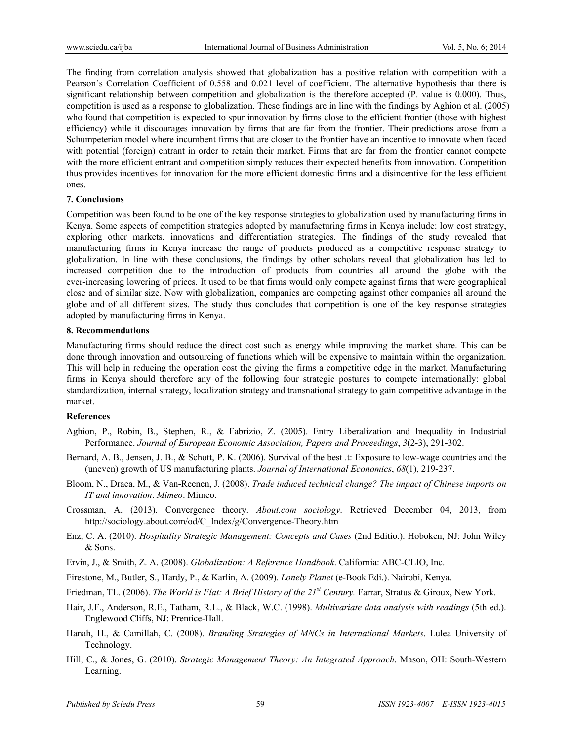The finding from correlation analysis showed that globalization has a positive relation with competition with a Pearson's Correlation Coefficient of 0.558 and 0.021 level of coefficient. The alternative hypothesis that there is significant relationship between competition and globalization is the therefore accepted (P. value is 0.000). Thus, competition is used as a response to globalization. These findings are in line with the findings by Aghion et al. (2005) who found that competition is expected to spur innovation by firms close to the efficient frontier (those with highest efficiency) while it discourages innovation by firms that are far from the frontier. Their predictions arose from a Schumpeterian model where incumbent firms that are closer to the frontier have an incentive to innovate when faced with potential (foreign) entrant in order to retain their market. Firms that are far from the frontier cannot compete with the more efficient entrant and competition simply reduces their expected benefits from innovation. Competition thus provides incentives for innovation for the more efficient domestic firms and a disincentive for the less efficient ones.

#### **7. Conclusions**

Competition was been found to be one of the key response strategies to globalization used by manufacturing firms in Kenya. Some aspects of competition strategies adopted by manufacturing firms in Kenya include: low cost strategy, exploring other markets, innovations and differentiation strategies. The findings of the study revealed that manufacturing firms in Kenya increase the range of products produced as a competitive response strategy to globalization. In line with these conclusions, the findings by other scholars reveal that globalization has led to increased competition due to the introduction of products from countries all around the globe with the ever-increasing lowering of prices. It used to be that firms would only compete against firms that were geographical close and of similar size. Now with globalization, companies are competing against other companies all around the globe and of all different sizes. The study thus concludes that competition is one of the key response strategies adopted by manufacturing firms in Kenya.

#### **8. Recommendations**

Manufacturing firms should reduce the direct cost such as energy while improving the market share. This can be done through innovation and outsourcing of functions which will be expensive to maintain within the organization. This will help in reducing the operation cost the giving the firms a competitive edge in the market. Manufacturing firms in Kenya should therefore any of the following four strategic postures to compete internationally: global standardization, internal strategy, localization strategy and transnational strategy to gain competitive advantage in the market.

#### **References**

- Aghion, P., Robin, B., Stephen, R., & Fabrizio, Z. (2005). Entry Liberalization and Inequality in Industrial Performance. *Journal of European Economic Association, Papers and Proceedings*, *3*(2-3), 291-302.
- Bernard, A. B., Jensen, J. B., & Schott, P. K. (2006). Survival of the best .t: Exposure to low-wage countries and the (uneven) growth of US manufacturing plants. *Journal of International Economics*, *68*(1), 219-237.
- Bloom, N., Draca, M., & Van-Reenen, J. (2008). *Trade induced technical change? The impact of Chinese imports on IT and innovation*. *Mimeo*. Mimeo.
- Crossman, A. (2013). Convergence theory. *About.com sociology*. Retrieved December 04, 2013, from http://sociology.about.com/od/C\_Index/g/Convergence-Theory.htm
- Enz, C. A. (2010). *Hospitality Strategic Management: Concepts and Cases* (2nd Editio.). Hoboken, NJ: John Wiley & Sons.
- Ervin, J., & Smith, Z. A. (2008). *Globalization: A Reference Handbook*. California: ABC-CLIO, Inc.
- Firestone, M., Butler, S., Hardy, P., & Karlin, A. (2009). *Lonely Planet* (e-Book Edi.). Nairobi, Kenya.
- Friedman, TL. (2006). *The World is Flat: A Brief History of the 21st Century.* Farrar, Stratus & Giroux, New York.
- Hair, J.F., Anderson, R.E., Tatham, R.L., & Black, W.C. (1998). *Multivariate data analysis with readings* (5th ed.). Englewood Cliffs, NJ: Prentice-Hall.
- Hanah, H., & Camillah, C. (2008). *Branding Strategies of MNCs in International Markets*. Lulea University of Technology.
- Hill, C., & Jones, G. (2010). *Strategic Management Theory: An Integrated Approach*. Mason, OH: South-Western Learning.